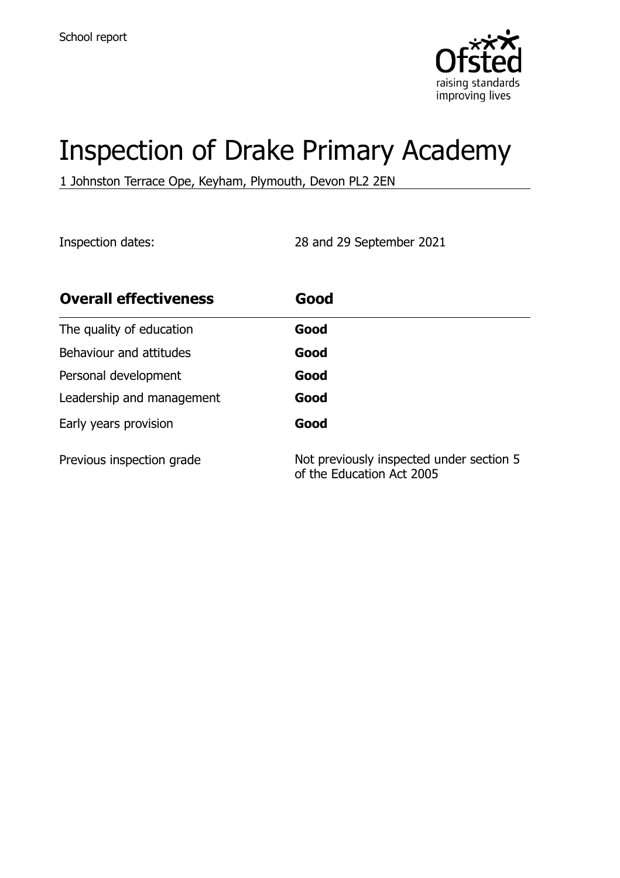

# Inspection of Drake Primary Academy

1 Johnston Terrace Ope, Keyham, Plymouth, Devon PL2 2EN

Inspection dates: 28 and 29 September 2021

| <b>Overall effectiveness</b> | Good                                                                  |
|------------------------------|-----------------------------------------------------------------------|
| The quality of education     | Good                                                                  |
| Behaviour and attitudes      | Good                                                                  |
| Personal development         | Good                                                                  |
| Leadership and management    | Good                                                                  |
| Early years provision        | Good                                                                  |
| Previous inspection grade    | Not previously inspected under section 5<br>of the Education Act 2005 |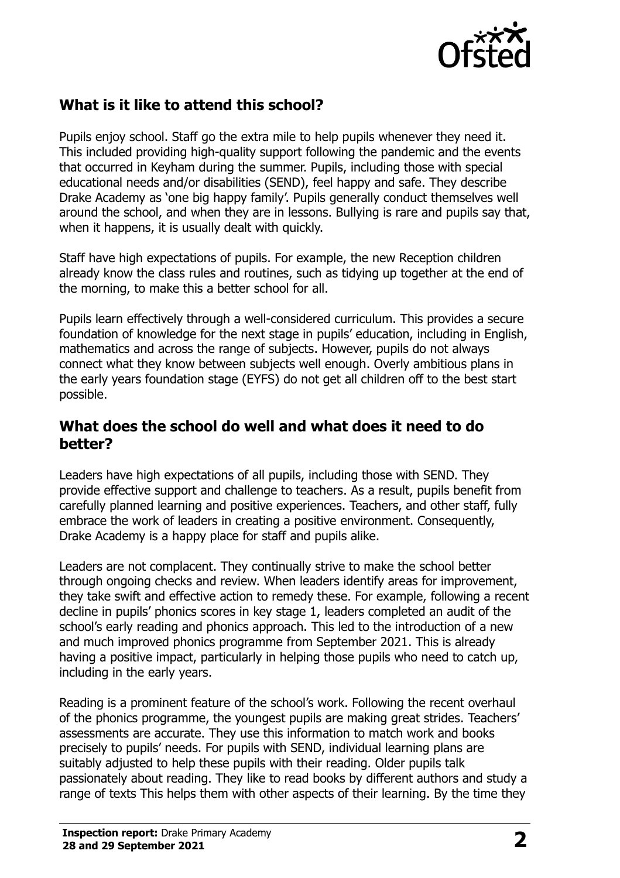

## **What is it like to attend this school?**

Pupils enjoy school. Staff go the extra mile to help pupils whenever they need it. This included providing high-quality support following the pandemic and the events that occurred in Keyham during the summer. Pupils, including those with special educational needs and/or disabilities (SEND), feel happy and safe. They describe Drake Academy as 'one big happy family'. Pupils generally conduct themselves well around the school, and when they are in lessons. Bullying is rare and pupils say that, when it happens, it is usually dealt with quickly.

Staff have high expectations of pupils. For example, the new Reception children already know the class rules and routines, such as tidying up together at the end of the morning, to make this a better school for all.

Pupils learn effectively through a well-considered curriculum. This provides a secure foundation of knowledge for the next stage in pupils' education, including in English, mathematics and across the range of subjects. However, pupils do not always connect what they know between subjects well enough. Overly ambitious plans in the early years foundation stage (EYFS) do not get all children off to the best start possible.

#### **What does the school do well and what does it need to do better?**

Leaders have high expectations of all pupils, including those with SEND. They provide effective support and challenge to teachers. As a result, pupils benefit from carefully planned learning and positive experiences. Teachers, and other staff, fully embrace the work of leaders in creating a positive environment. Consequently, Drake Academy is a happy place for staff and pupils alike.

Leaders are not complacent. They continually strive to make the school better through ongoing checks and review. When leaders identify areas for improvement, they take swift and effective action to remedy these. For example, following a recent decline in pupils' phonics scores in key stage 1, leaders completed an audit of the school's early reading and phonics approach. This led to the introduction of a new and much improved phonics programme from September 2021. This is already having a positive impact, particularly in helping those pupils who need to catch up, including in the early years.

Reading is a prominent feature of the school's work. Following the recent overhaul of the phonics programme, the youngest pupils are making great strides. Teachers' assessments are accurate. They use this information to match work and books precisely to pupils' needs. For pupils with SEND, individual learning plans are suitably adjusted to help these pupils with their reading. Older pupils talk passionately about reading. They like to read books by different authors and study a range of texts This helps them with other aspects of their learning. By the time they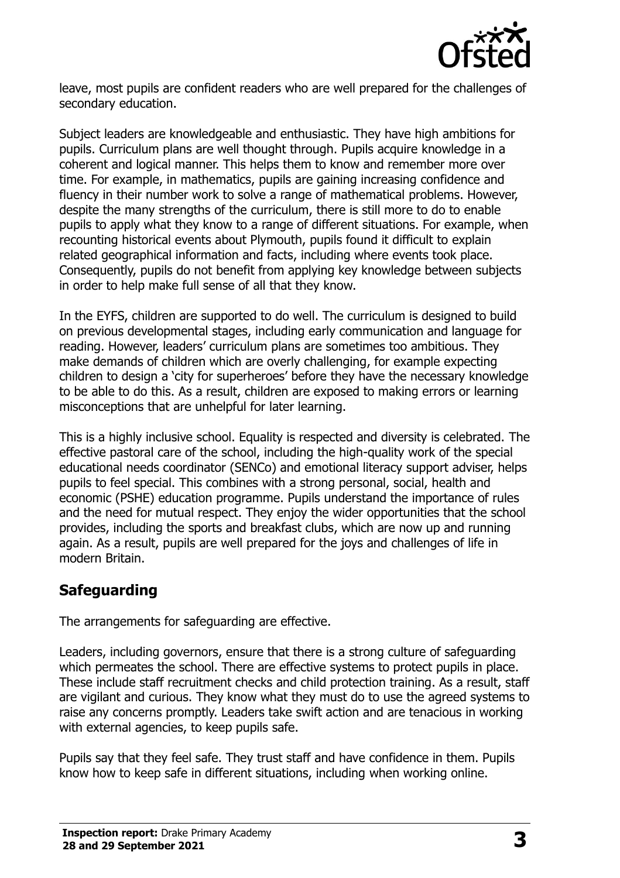

leave, most pupils are confident readers who are well prepared for the challenges of secondary education.

Subject leaders are knowledgeable and enthusiastic. They have high ambitions for pupils. Curriculum plans are well thought through. Pupils acquire knowledge in a coherent and logical manner. This helps them to know and remember more over time. For example, in mathematics, pupils are gaining increasing confidence and fluency in their number work to solve a range of mathematical problems. However, despite the many strengths of the curriculum, there is still more to do to enable pupils to apply what they know to a range of different situations. For example, when recounting historical events about Plymouth, pupils found it difficult to explain related geographical information and facts, including where events took place. Consequently, pupils do not benefit from applying key knowledge between subjects in order to help make full sense of all that they know.

In the EYFS, children are supported to do well. The curriculum is designed to build on previous developmental stages, including early communication and language for reading. However, leaders' curriculum plans are sometimes too ambitious. They make demands of children which are overly challenging, for example expecting children to design a 'city for superheroes' before they have the necessary knowledge to be able to do this. As a result, children are exposed to making errors or learning misconceptions that are unhelpful for later learning.

This is a highly inclusive school. Equality is respected and diversity is celebrated. The effective pastoral care of the school, including the high-quality work of the special educational needs coordinator (SENCo) and emotional literacy support adviser, helps pupils to feel special. This combines with a strong personal, social, health and economic (PSHE) education programme. Pupils understand the importance of rules and the need for mutual respect. They enjoy the wider opportunities that the school provides, including the sports and breakfast clubs, which are now up and running again. As a result, pupils are well prepared for the joys and challenges of life in modern Britain.

## **Safeguarding**

The arrangements for safeguarding are effective.

Leaders, including governors, ensure that there is a strong culture of safeguarding which permeates the school. There are effective systems to protect pupils in place. These include staff recruitment checks and child protection training. As a result, staff are vigilant and curious. They know what they must do to use the agreed systems to raise any concerns promptly. Leaders take swift action and are tenacious in working with external agencies, to keep pupils safe.

Pupils say that they feel safe. They trust staff and have confidence in them. Pupils know how to keep safe in different situations, including when working online.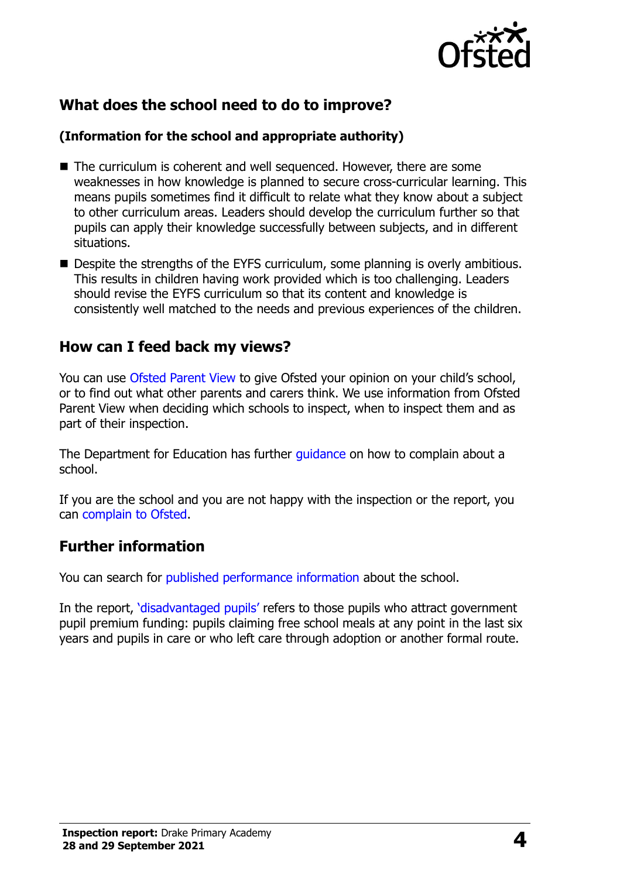

## **What does the school need to do to improve?**

#### **(Information for the school and appropriate authority)**

- The curriculum is coherent and well sequenced. However, there are some weaknesses in how knowledge is planned to secure cross-curricular learning. This means pupils sometimes find it difficult to relate what they know about a subject to other curriculum areas. Leaders should develop the curriculum further so that pupils can apply their knowledge successfully between subjects, and in different situations.
- Despite the strengths of the EYFS curriculum, some planning is overly ambitious. This results in children having work provided which is too challenging. Leaders should revise the EYFS curriculum so that its content and knowledge is consistently well matched to the needs and previous experiences of the children.

## **How can I feed back my views?**

You can use [Ofsted Parent View](http://parentview.ofsted.gov.uk/) to give Ofsted your opinion on your child's school, or to find out what other parents and carers think. We use information from Ofsted Parent View when deciding which schools to inspect, when to inspect them and as part of their inspection.

The Department for Education has further quidance on how to complain about a school.

If you are the school and you are not happy with the inspection or the report, you can [complain to Ofsted.](http://www.gov.uk/complain-ofsted-report)

## **Further information**

You can search for [published performance information](http://www.compare-school-performance.service.gov.uk/) about the school.

In the report, '[disadvantaged pupils](http://www.gov.uk/guidance/pupil-premium-information-for-schools-and-alternative-provision-settings)' refers to those pupils who attract government pupil premium funding: pupils claiming free school meals at any point in the last six years and pupils in care or who left care through adoption or another formal route.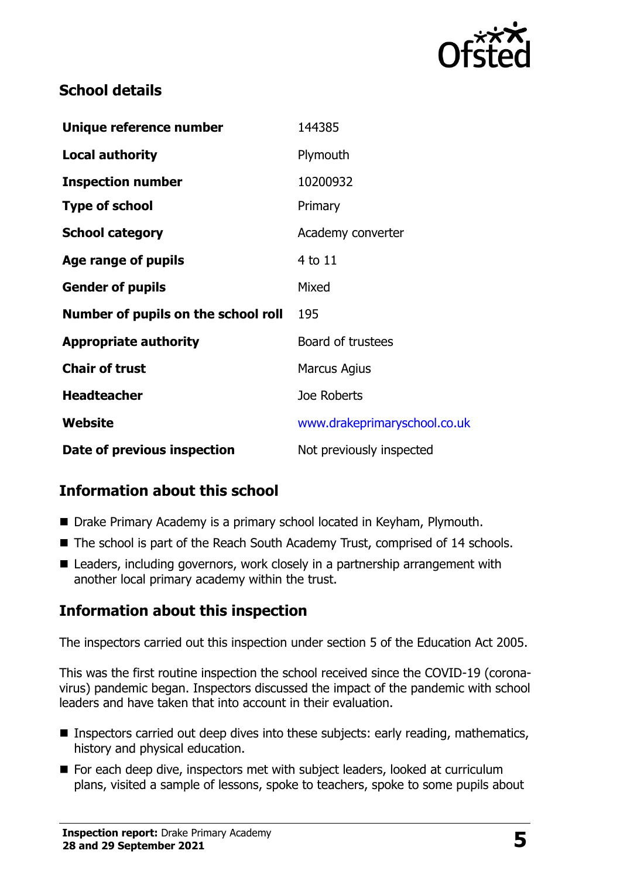

## **School details**

| Unique reference number             | 144385                       |
|-------------------------------------|------------------------------|
| <b>Local authority</b>              | Plymouth                     |
| <b>Inspection number</b>            | 10200932                     |
| <b>Type of school</b>               | Primary                      |
| <b>School category</b>              | Academy converter            |
| Age range of pupils                 | 4 to 11                      |
| <b>Gender of pupils</b>             | Mixed                        |
| Number of pupils on the school roll | 195                          |
| <b>Appropriate authority</b>        | Board of trustees            |
| <b>Chair of trust</b>               | <b>Marcus Agius</b>          |
| <b>Headteacher</b>                  | Joe Roberts                  |
| Website                             | www.drakeprimaryschool.co.uk |
| Date of previous inspection         | Not previously inspected     |

# **Information about this school**

- Drake Primary Academy is a primary school located in Keyham, Plymouth.
- The school is part of the Reach South Academy Trust, comprised of 14 schools.
- Leaders, including governors, work closely in a partnership arrangement with another local primary academy within the trust.

## **Information about this inspection**

The inspectors carried out this inspection under section 5 of the Education Act 2005.

This was the first routine inspection the school received since the COVID-19 (coronavirus) pandemic began. Inspectors discussed the impact of the pandemic with school leaders and have taken that into account in their evaluation.

- **Inspectors carried out deep dives into these subjects: early reading, mathematics,** history and physical education.
- For each deep dive, inspectors met with subject leaders, looked at curriculum plans, visited a sample of lessons, spoke to teachers, spoke to some pupils about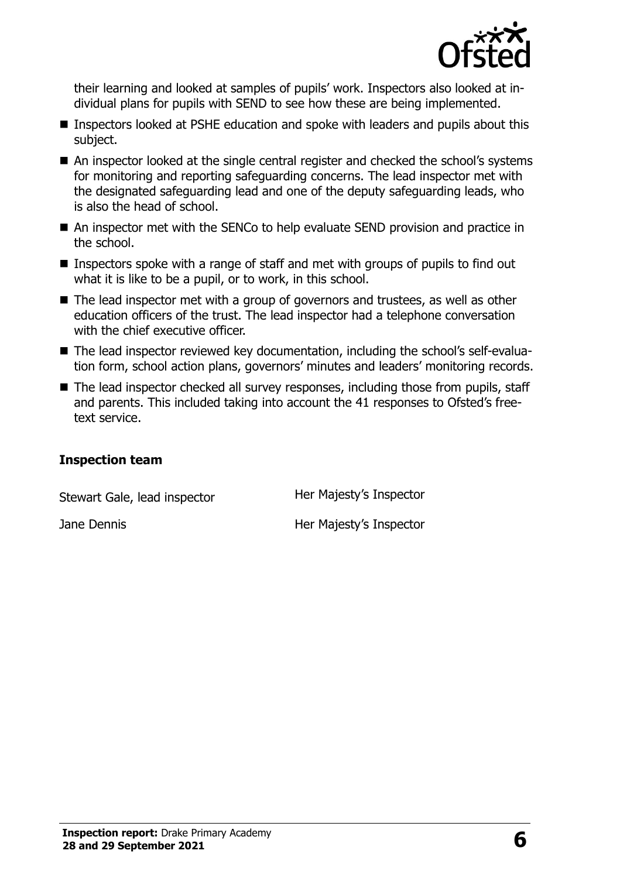

their learning and looked at samples of pupils' work. Inspectors also looked at individual plans for pupils with SEND to see how these are being implemented.

- Inspectors looked at PSHE education and spoke with leaders and pupils about this subject.
- An inspector looked at the single central register and checked the school's systems for monitoring and reporting safeguarding concerns. The lead inspector met with the designated safeguarding lead and one of the deputy safeguarding leads, who is also the head of school.
- An inspector met with the SENCo to help evaluate SEND provision and practice in the school.
- Inspectors spoke with a range of staff and met with groups of pupils to find out what it is like to be a pupil, or to work, in this school.
- The lead inspector met with a group of governors and trustees, as well as other education officers of the trust. The lead inspector had a telephone conversation with the chief executive officer.
- The lead inspector reviewed key documentation, including the school's self-evaluation form, school action plans, governors' minutes and leaders' monitoring records.
- The lead inspector checked all survey responses, including those from pupils, staff and parents. This included taking into account the 41 responses to Ofsted's freetext service.

#### **Inspection team**

| Stewart Gale, lead inspector | Her Majesty's Inspector |
|------------------------------|-------------------------|
| Jane Dennis                  | Her Majesty's Inspector |